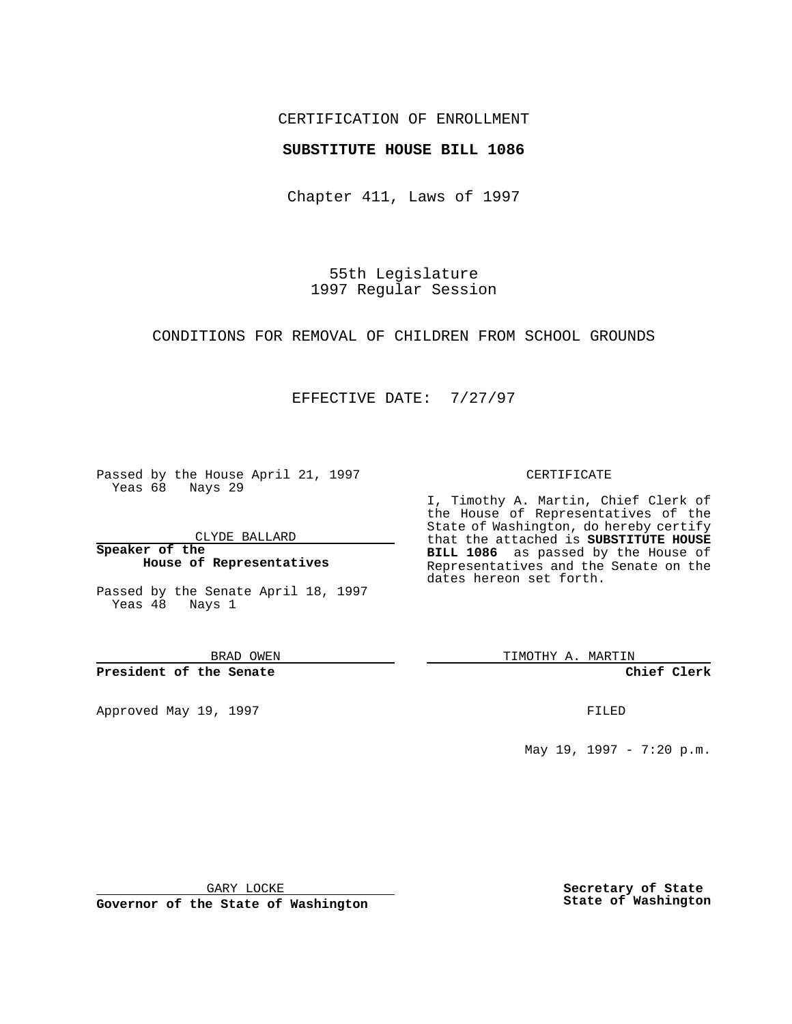## CERTIFICATION OF ENROLLMENT

### **SUBSTITUTE HOUSE BILL 1086**

Chapter 411, Laws of 1997

55th Legislature 1997 Regular Session

CONDITIONS FOR REMOVAL OF CHILDREN FROM SCHOOL GROUNDS

## EFFECTIVE DATE: 7/27/97

Passed by the House April 21, 1997 Yeas 68 Nays 29

CLYDE BALLARD

**Speaker of the House of Representatives**

Passed by the Senate April 18, 1997 Yeas 48 Nays 1

BRAD OWEN

**President of the Senate**

Approved May 19, 1997 **FILED** 

#### CERTIFICATE

I, Timothy A. Martin, Chief Clerk of the House of Representatives of the State of Washington, do hereby certify that the attached is **SUBSTITUTE HOUSE BILL 1086** as passed by the House of Representatives and the Senate on the dates hereon set forth.

TIMOTHY A. MARTIN

**Chief Clerk**

May 19, 1997 - 7:20 p.m.

GARY LOCKE

**Governor of the State of Washington**

**Secretary of State State of Washington**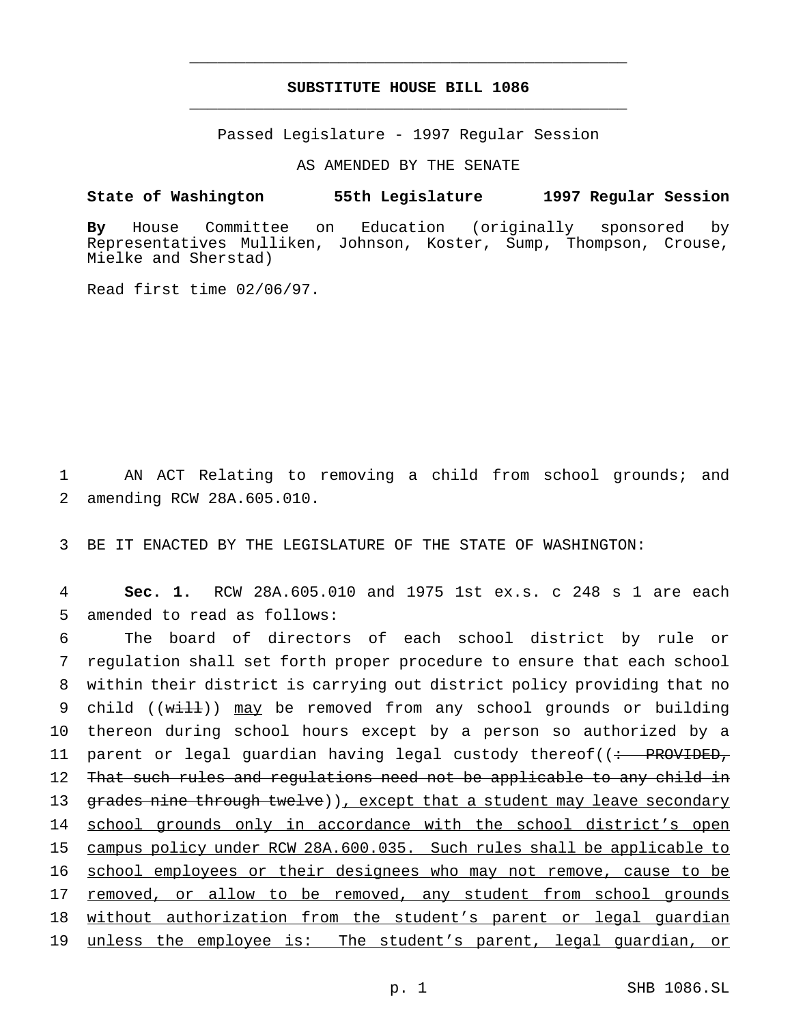# **SUBSTITUTE HOUSE BILL 1086** \_\_\_\_\_\_\_\_\_\_\_\_\_\_\_\_\_\_\_\_\_\_\_\_\_\_\_\_\_\_\_\_\_\_\_\_\_\_\_\_\_\_\_\_\_\_\_

\_\_\_\_\_\_\_\_\_\_\_\_\_\_\_\_\_\_\_\_\_\_\_\_\_\_\_\_\_\_\_\_\_\_\_\_\_\_\_\_\_\_\_\_\_\_\_

Passed Legislature - 1997 Regular Session

AS AMENDED BY THE SENATE

#### **State of Washington 55th Legislature 1997 Regular Session**

**By** House Committee on Education (originally sponsored by Representatives Mulliken, Johnson, Koster, Sump, Thompson, Crouse, Mielke and Sherstad)

Read first time 02/06/97.

1 AN ACT Relating to removing a child from school grounds; and 2 amending RCW 28A.605.010.

3 BE IT ENACTED BY THE LEGISLATURE OF THE STATE OF WASHINGTON:

4 **Sec. 1.** RCW 28A.605.010 and 1975 1st ex.s. c 248 s 1 are each 5 amended to read as follows:

6 The board of directors of each school district by rule or 7 regulation shall set forth proper procedure to ensure that each school 8 within their district is carrying out district policy providing that no 9 child  $((with 1)$  may be removed from any school grounds or building 10 thereon during school hours except by a person so authorized by a 11 parent or legal guardian having legal custody thereof((: PROVIDED, 12 That such rules and regulations need not be applicable to any child in 13 grades nine through twelve)), except that a student may leave secondary 14 school grounds only in accordance with the school district's open 15 campus policy under RCW 28A.600.035. Such rules shall be applicable to 16 school employees or their designees who may not remove, cause to be 17 removed, or allow to be removed, any student from school grounds 18 without authorization from the student's parent or legal quardian 19 unless the employee is: The student's parent, legal guardian, or